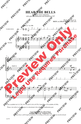## **HEAR THE BELLS**

for 2-part voices and piano with optional tambourine and SoundTrax CD\*

> *Words and Music by* **DAVE** *and* **JEAN PERRY** (ASCAP)



\*Also available for S.A.T.B. (41577) and S.A.B. (41578). SoundTrax CD available (41580).

Please visit *alfred.com/choralparts* to download a free individual tambourine part.

**Copyright © 2014 by Alfred Music All Rights Reserved. Printed in USA.** *To purchase a full-length performance recording of this piece, go to alfred.com/downloads*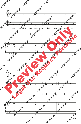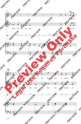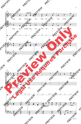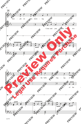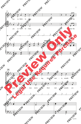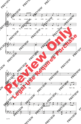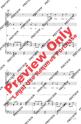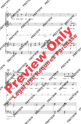

\* Close to "ng"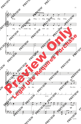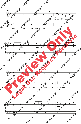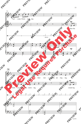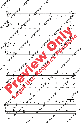